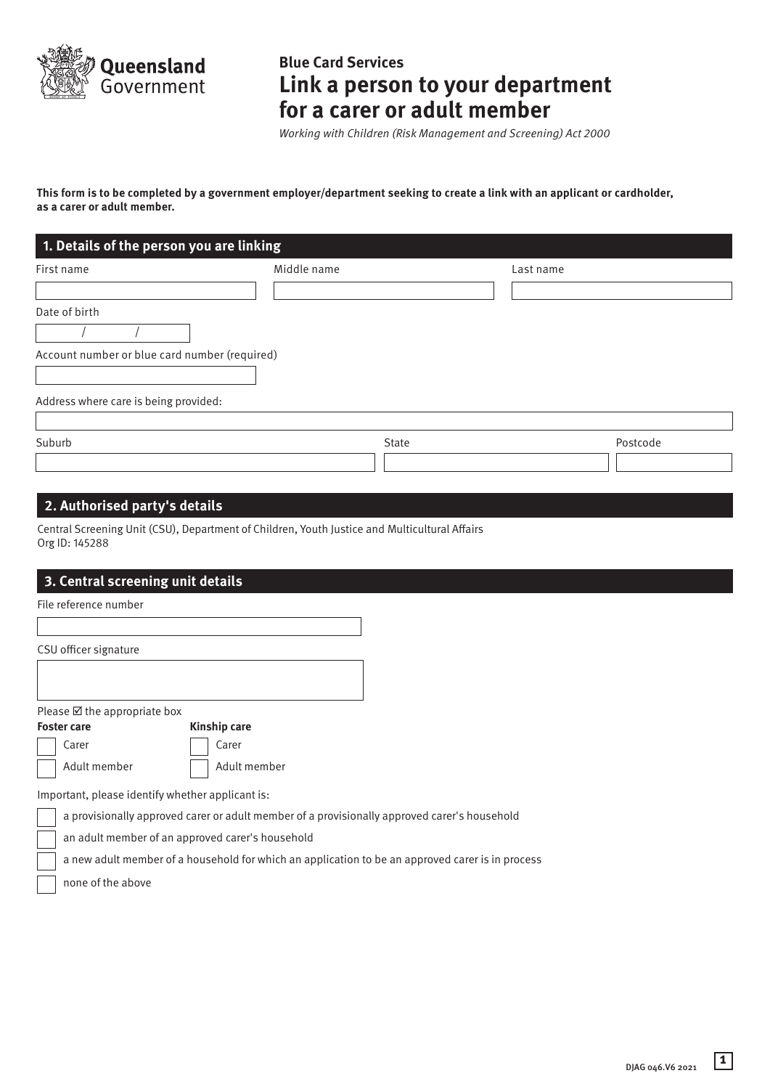

# **Blue Card Services Link a person to your department for a carer or adult member**

*Working with Children (Risk Management and Screening) Act 2000*

**This form is to be completed by a government employer/department seeking to create a link with an applicant or cardholder, as a carer or adult member.**

| First name                                    | Middle name |       | Last name |          |
|-----------------------------------------------|-------------|-------|-----------|----------|
|                                               |             |       |           |          |
| Date of birth                                 |             |       |           |          |
|                                               |             |       |           |          |
| Account number or blue card number (required) |             |       |           |          |
|                                               |             |       |           |          |
| Address where care is being provided:         |             |       |           |          |
|                                               |             |       |           |          |
| Suburb                                        |             | State |           | Postcode |
|                                               |             |       |           |          |

# **2. Authorised party's details**

Central Screening Unit (CSU), Department of Children, Youth Justice and Multicultural Affairs Org ID: 145288

# **3. Central screening unit details**

File reference number

CSU officer signature

Please  $\boxtimes$  the appropriate box

**Foster care Kinship care** Carer Carer

Adult member | Adult member

Important, please identify whether applicant is:

a provisionally approved carer or adult member of a provisionally approved carer's household

an adult member of an approved carer's household

a new adult member of a household for which an application to be an approved carer is in process

none of the above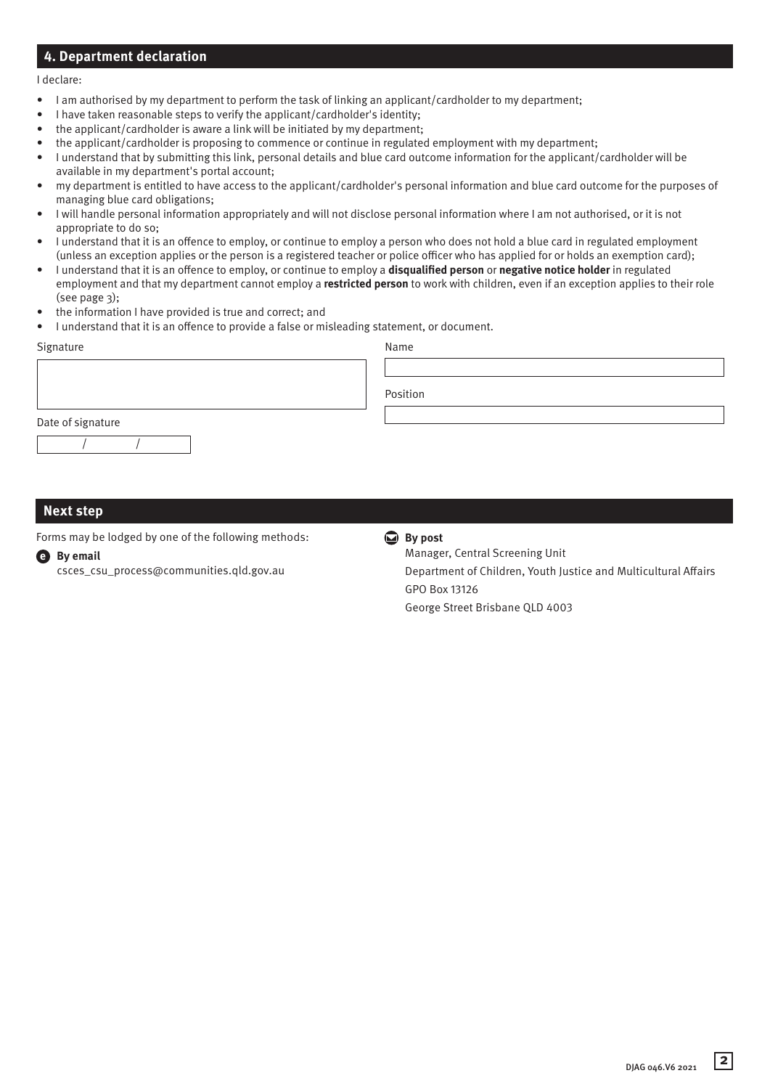# **4. Department declaration**

#### I declare:

- I am authorised by my department to perform the task of linking an applicant/cardholder to my department;
- I have taken reasonable steps to verify the applicant/cardholder's identity;
- the applicant/cardholder is aware a link will be initiated by my department;
- the applicant/cardholder is proposing to commence or continue in regulated employment with my department;
- I understand that by submitting this link, personal details and blue card outcome information for the applicant/cardholder will be available in my department's portal account;
- my department is entitled to have access to the applicant/cardholder's personal information and blue card outcome for the purposes of managing blue card obligations;
- I will handle personal information appropriately and will not disclose personal information where I am not authorised, or it is not appropriate to do so;
- I understand that it is an offence to employ, or continue to employ a person who does not hold a blue card in regulated employment (unless an exception applies or the person is a registered teacher or police officer who has applied for or holds an exemption card);
- I understand that it is an offence to employ, or continue to employ a **disqualified person** or **negative notice holder** in regulated employment and that my department cannot employ a **restricted person** to work with children, even if an exception applies to their role (see page 3);
- the information I have provided is true and correct; and
- I understand that it is an offence to provide a false or misleading statement, or document.

| Signature         | Name     |
|-------------------|----------|
|                   |          |
|                   | Position |
| Date of signature |          |
|                   |          |

# **Next step**

Forms may be lodged by one of the following methods:

#### **e By email**

csces\_csu\_process@communities.qld.gov.au

#### **By post**

Manager, Central Screening Unit Department of Children, Youth Justice and Multicultural Affairs GPO Box 13126 George Street Brisbane QLD 4003

**2** DJAG 046.V6 2021